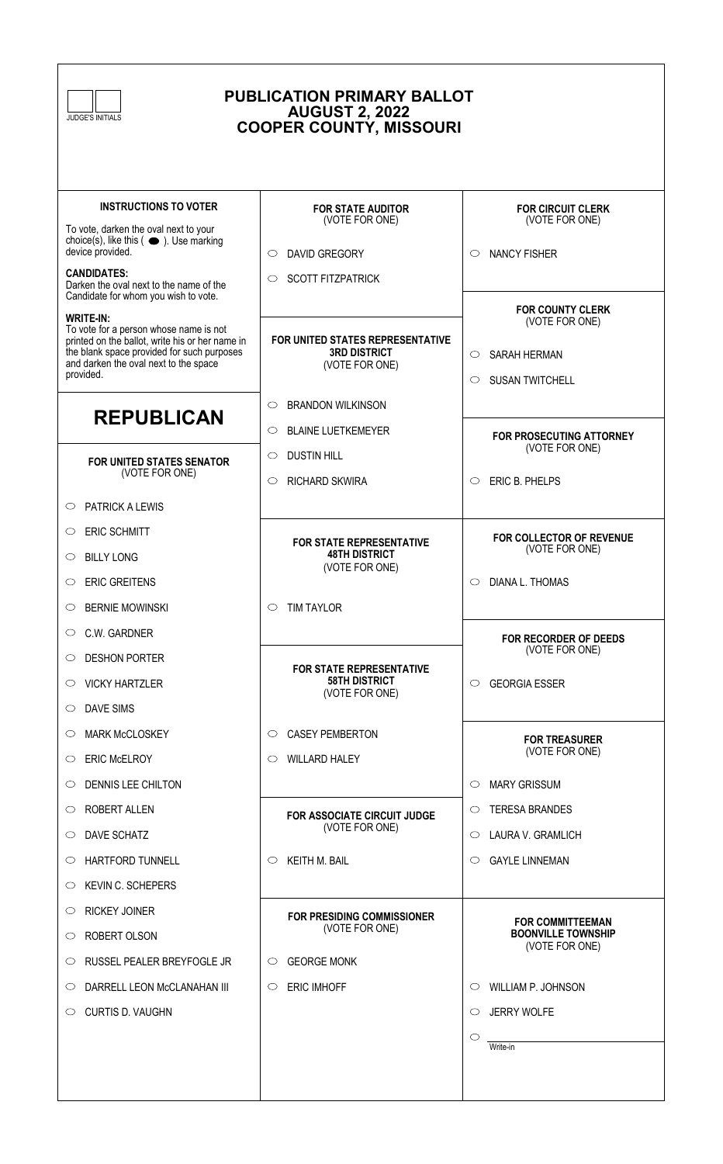| <b>PUBLICATION PRIMARY BALLOT</b><br><b>AUGUST 2, 2022</b><br><b>JUDGE'S INITIALS</b><br><b>COOPER COUNTY, MISSOURI</b>                                                                                           |                                                                           |                                                                                                           |
|-------------------------------------------------------------------------------------------------------------------------------------------------------------------------------------------------------------------|---------------------------------------------------------------------------|-----------------------------------------------------------------------------------------------------------|
| <b>INSTRUCTIONS TO VOTER</b>                                                                                                                                                                                      | <b>FOR STATE AUDITOR</b><br>(VOTE FOR ONE)                                | <b>FOR CIRCUIT CLERK</b><br>(VOTE FOR ONE)                                                                |
| To vote, darken the oval next to your<br>choice(s), like this $($ $\bullet$ $)$ . Use marking<br>device provided.                                                                                                 |                                                                           |                                                                                                           |
| <b>CANDIDATES:</b><br>Darken the oval next to the name of the<br>Candidate for whom you wish to vote.                                                                                                             | <b>DAVID GREGORY</b><br>$\circ$<br><b>SCOTT FITZPATRICK</b><br>$\circ$    | <b>NANCY FISHER</b><br>$\circ$                                                                            |
| <b>WRITE-IN:</b><br>To vote for a person whose name is not<br>printed on the ballot, write his or her name in<br>the blank space provided for such purposes<br>and darken the oval next to the space<br>provided. | FOR UNITED STATES REPRESENTATIVE<br><b>3RD DISTRICT</b><br>(VOTE FOR ONE) | <b>FOR COUNTY CLERK</b><br>(VOTE FOR ONE)<br>SARAH HERMAN<br>$\circ$<br><b>SUSAN TWITCHELL</b><br>$\circ$ |
|                                                                                                                                                                                                                   | <b>BRANDON WILKINSON</b><br>$\circ$                                       |                                                                                                           |
| <b>REPUBLICAN</b><br>FOR UNITED STATES SENATOR<br>(VOTE FOR ONE)                                                                                                                                                  | <b>BLAINE LUETKEMEYER</b><br>$\circ$<br><b>DUSTIN HILL</b><br>$\circ$     | FOR PROSECUTING ATTORNEY<br>(VOTE FOR ONE)                                                                |
| <b>PATRICK A LEWIS</b><br>$\circ$                                                                                                                                                                                 | <b>RICHARD SKWIRA</b><br>$\circ$                                          | ERIC B. PHELPS<br>$\circ$                                                                                 |
| <b>ERIC SCHMITT</b><br>$\circ$                                                                                                                                                                                    |                                                                           |                                                                                                           |
| <b>BILLY LONG</b><br>$\circ$                                                                                                                                                                                      | <b>FOR STATE REPRESENTATIVE</b><br><b>48TH DISTRICT</b>                   | <b>FOR COLLECTOR OF REVENUE</b><br>(VOTE FOR ONE)                                                         |
| <b>ERIC GREITENS</b><br>$\circ$                                                                                                                                                                                   | (VOTE FOR ONE)                                                            | DIANA L. THOMAS                                                                                           |
| <b>BERNIE MOWINSKI</b><br>$\circ$                                                                                                                                                                                 | TIM TAYLOR<br>$\circ$                                                     |                                                                                                           |
| C.W. GARDNER<br>O                                                                                                                                                                                                 |                                                                           | <b>FOR RECORDER OF DEEDS</b>                                                                              |
| <b>DESHON PORTER</b><br>$\circ$                                                                                                                                                                                   |                                                                           | (VOTE FOR ONE)                                                                                            |
| <b>VICKY HARTZLER</b><br>$\circ$                                                                                                                                                                                  | <b>FOR STATE REPRESENTATIVE</b><br><b>58TH DISTRICT</b><br>(VOTE FOR ONE) | <b>GEORGIA ESSER</b><br>$\circ$                                                                           |
| <b>DAVE SIMS</b><br>$\circ$                                                                                                                                                                                       |                                                                           |                                                                                                           |
| <b>MARK McCLOSKEY</b><br>O                                                                                                                                                                                        | <b>CASEY PEMBERTON</b><br>$\circ$                                         | <b>FOR TREASURER</b>                                                                                      |
| <b>ERIC McELROY</b><br>$\circ$                                                                                                                                                                                    | <b>WILLARD HALEY</b><br>O                                                 | (VOTE FOR ONE)                                                                                            |
| DENNIS LEE CHILTON<br>$\circ$                                                                                                                                                                                     |                                                                           | <b>MARY GRISSUM</b><br>$\circ$                                                                            |
| <b>ROBERT ALLEN</b><br>$\circ$                                                                                                                                                                                    | FOR ASSOCIATE CIRCUIT JUDGE                                               | <b>TERESA BRANDES</b><br>$\circ$                                                                          |
| DAVE SCHATZ<br>$\circ$                                                                                                                                                                                            | (VOTE FOR ONE)                                                            | LAURA V. GRAMLICH<br>◯                                                                                    |
| <b>HARTFORD TUNNELL</b><br>O                                                                                                                                                                                      | <b>KEITH M. BAIL</b><br>$\circ$                                           | <b>GAYLE LINNEMAN</b><br>O                                                                                |
| KEVIN C. SCHEPERS<br>$\circ$                                                                                                                                                                                      |                                                                           |                                                                                                           |
| <b>RICKEY JOINER</b><br>O                                                                                                                                                                                         | <b>FOR PRESIDING COMMISSIONER</b>                                         | <b>FOR COMMITTEEMAN</b>                                                                                   |
| ROBERT OLSON<br>$\circ$                                                                                                                                                                                           | (VOTE FOR ONE)                                                            | <b>BOONVILLE TOWNSHIP</b><br>(VOTE FOR ONE)                                                               |
| RUSSEL PEALER BREYFOGLE JR<br>$\circ$                                                                                                                                                                             | <b>GEORGE MONK</b><br>O                                                   |                                                                                                           |
| DARRELL LEON McCLANAHAN III<br>$\circ$                                                                                                                                                                            | <b>ERIC IMHOFF</b><br>$\circlearrowright$                                 | <b>WILLIAM P. JOHNSON</b>                                                                                 |
| <b>CURTIS D. VAUGHN</b><br>$\circ$                                                                                                                                                                                |                                                                           | <b>JERRY WOLFE</b><br>O                                                                                   |
|                                                                                                                                                                                                                   |                                                                           | O<br>Write-in                                                                                             |
|                                                                                                                                                                                                                   |                                                                           |                                                                                                           |

 $\sqrt{ }$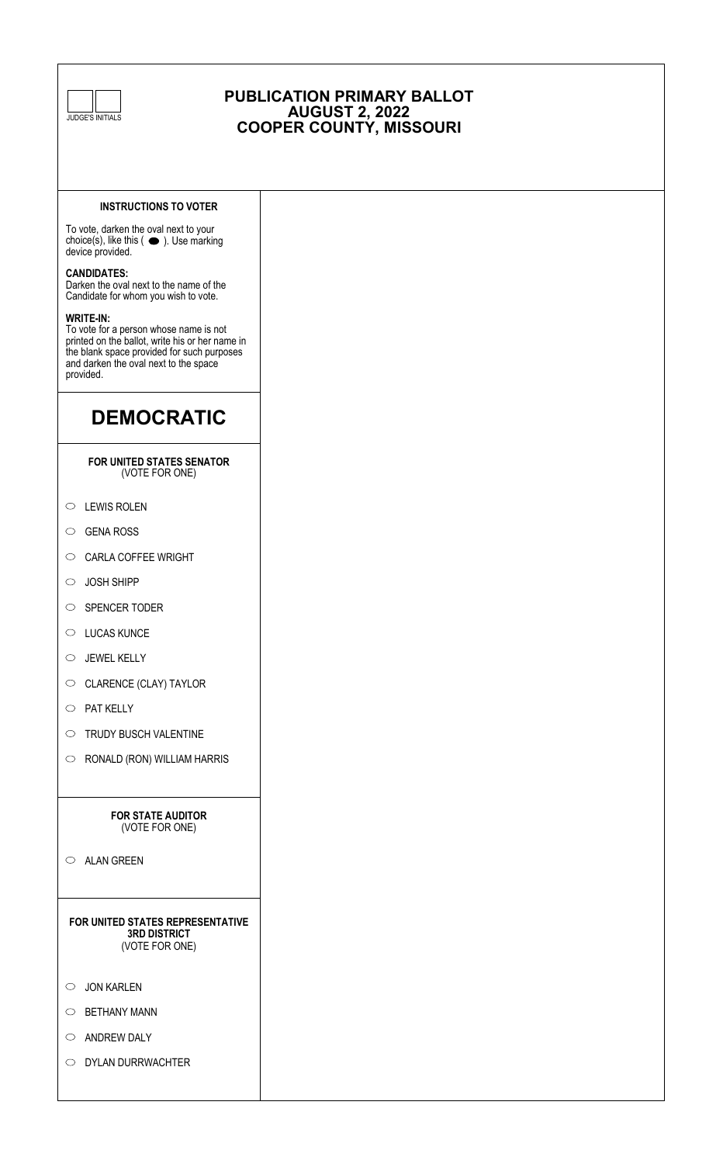

# **PUBLICATION PRIMARY BALLOT AUGUST 2, 2022 COOPER COUNTY, MISSOURI**

## **INSTRUCTIONS TO VOTER**

To vote, darken the oval next to your choice(s), like this  $(\bullet)$ . Use marking device provided.

### **CANDIDATES:**

Darken the oval next to the name of the Candidate for whom you wish to vote.

#### **WRITE-IN:**

To vote for a person whose name is not printed on the ballot, write his or her name in the blank space provided for such purposes and darken the oval next to the space provided.

# **DEMOCRATIC**

#### **FOR UNITED STATES SENATOR** (VOTE FOR ONE)

- $\circlearrowright$  LEWIS ROLEN
- C GENA ROSS
- $\circ$  CARLA COFFEE WRIGHT
- JOSH SHIPP
- $\circ$  SPENCER TODER
- $\circlearrowright$  LUCAS KUNCE
- $\circ$  JEWEL KELLY
- $\circ$  CLARENCE (CLAY) TAYLOR
- $\circ$  PAT KELLY
- $\circ$  TRUDY BUSCH VALENTINE
- $\circ$  RONALD (RON) WILLIAM HARRIS

#### **FOR STATE AUDITOR** (VOTE FOR ONE)

 $\circ$  ALAN GREEN

**FOR UNITED STATES REPRESENTATIVE 3RD DISTRICT** (VOTE FOR ONE)

- $\circ$  JON KARLEN
- $\circlearrowright$  BETHANY MANN
- $\circ$  ANDREW DALY
- O DYLAN DURRWACHTER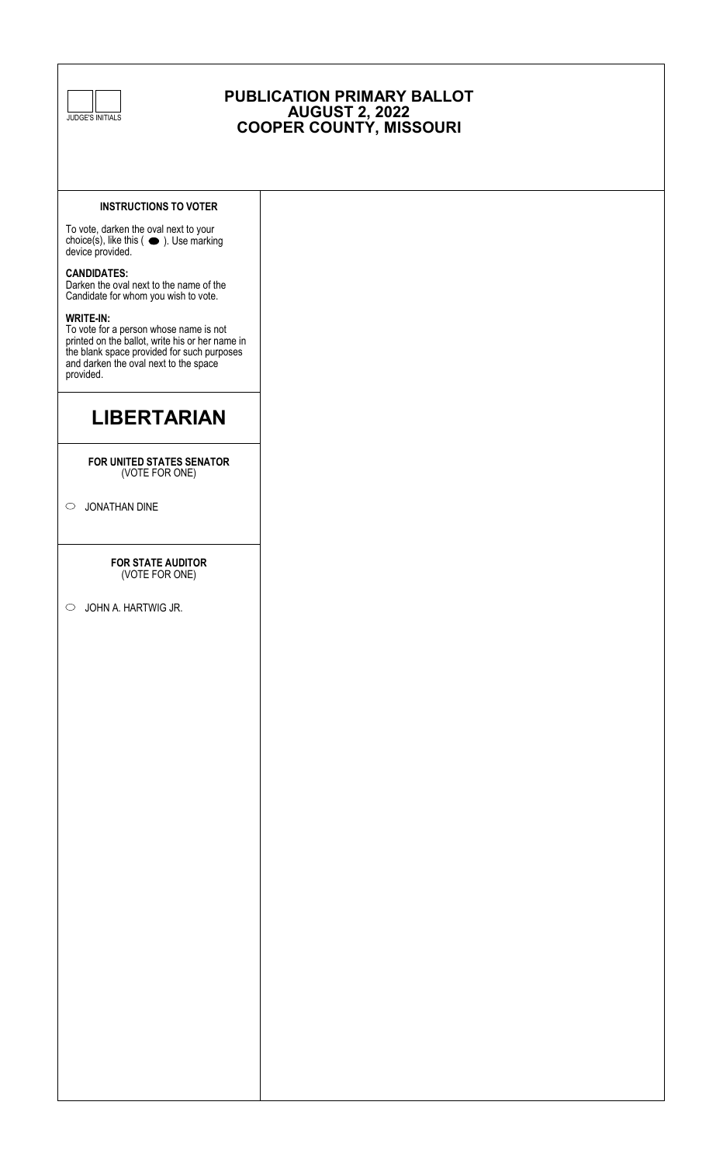

# **PUBLICATION PRIMARY BALLOT AUGUST 2, 2022 COOPER COUNTY, MISSOURI**

## **INSTRUCTIONS TO VOTER**

To vote, darken the oval next to your choice(s), like this  $($   $\bullet$  ). Use marking device provided.

### **CANDIDATES:**

Darken the oval next to the name of the Candidate for whom you wish to vote.

#### **WRITE-IN:**

To vote for a person whose name is not printed on the ballot, write his or her name in the blank space provided for such purposes and darken the oval next to the space provided.

# **LIBERTARIAN**

#### **FOR UNITED STATES SENATOR** (VOTE FOR ONE)

JONATHAN DINE

#### **FOR STATE AUDITOR** (VOTE FOR ONE)

JOHN A. HARTWIG JR.